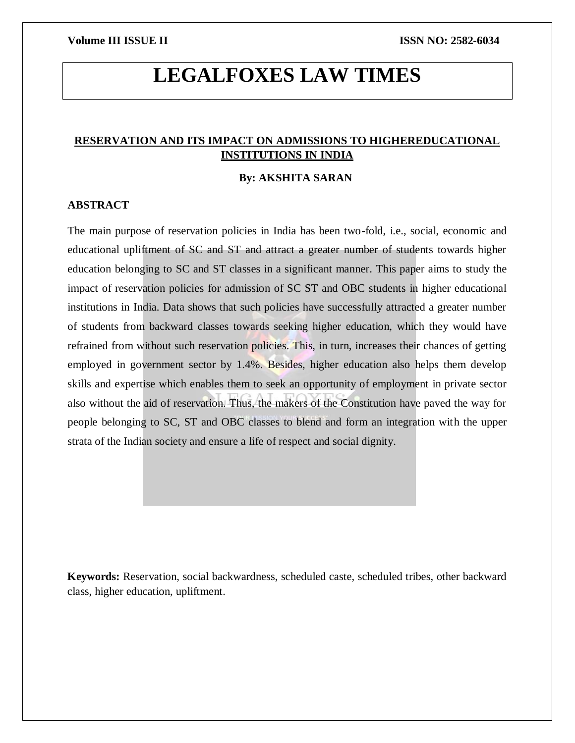# **LEGALFOXES LAW TIMES**

### **RESERVATION AND ITS IMPACT ON ADMISSIONS TO HIGHEREDUCATIONAL INSTITUTIONS IN INDIA**

#### **By: AKSHITA SARAN**

#### **ABSTRACT**

The main purpose of reservation policies in India has been two-fold, i.e., social, economic and educational upliftment of SC and ST and attract a greater number of students towards higher education belonging to SC and ST classes in a significant manner. This paper aims to study the impact of reservation policies for admission of SC ST and OBC students in higher educational institutions in India. Data shows that such policies have successfully attracted a greater number of students from backward classes towards seeking higher education, which they would have refrained from without such reservation policies. This, in turn, increases their chances of getting employed in government sector by 1.4%. Besides, higher education also helps them develop skills and expertise which enables them to seek an opportunity of employment in private sector also without the aid of reservation. Thus, the makers of the Constitution have paved the way for people belonging to SC, ST and OBC classes to blend and form an integration with the upper strata of the Indian society and ensure a life of respect and social dignity.

**Keywords:** Reservation, social backwardness, scheduled caste, scheduled tribes, other backward class, higher education, upliftment.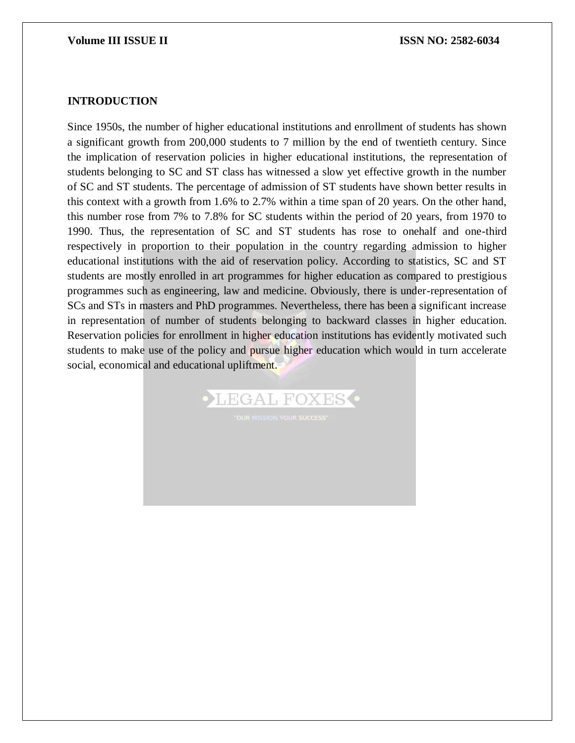#### **INTRODUCTION**

Since 1950s, the number of higher educational institutions and enrollment of students has shown a significant growth from 200,000 students to 7 million by the end of twentieth century. Since the implication of reservation policies in higher educational institutions, the representation of students belonging to SC and ST class has witnessed a slow yet effective growth in the number of SC and ST students. The percentage of admission of ST students have shown better results in this context with a growth from 1.6% to 2.7% within a time span of 20 years. On the other hand, this number rose from 7% to 7.8% for SC students within the period of 20 years, from 1970 to 1990. Thus, the representation of SC and ST students has rose to onehalf and one-third respectively in proportion to their population in the country regarding admission to higher educational institutions with the aid of reservation policy. According to statistics, SC and ST students are mostly enrolled in art programmes for higher education as compared to prestigious programmes such as engineering, law and medicine. Obviously, there is under-representation of SCs and STs in masters and PhD programmes. Nevertheless, there has been a significant increase in representation of number of students belonging to backward classes in higher education. Reservation policies for enrollment in higher education institutions has evidently motivated such students to make use of the policy and pursue higher education which would in turn accelerate social, economical and educational upliftment.

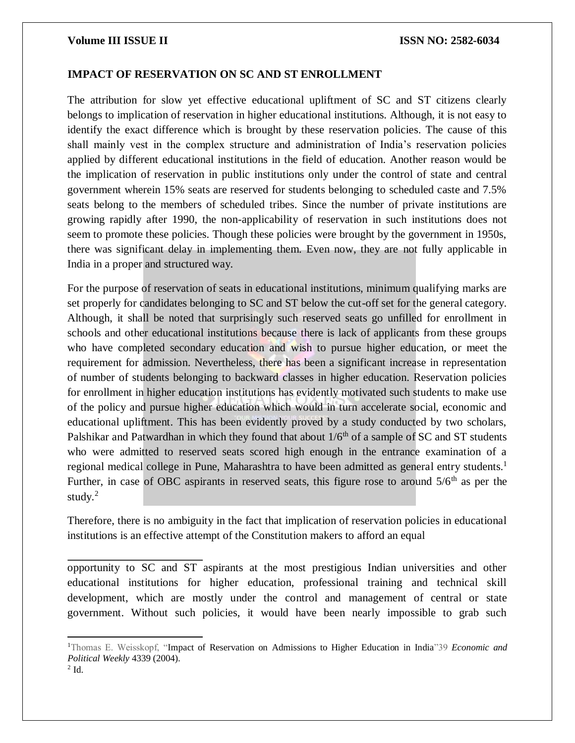#### **IMPACT OF RESERVATION ON SC AND ST ENROLLMENT**

The attribution for slow yet effective educational upliftment of SC and ST citizens clearly belongs to implication of reservation in higher educational institutions. Although, it is not easy to identify the exact difference which is brought by these reservation policies. The cause of this shall mainly vest in the complex structure and administration of India's reservation policies applied by different educational institutions in the field of education. Another reason would be the implication of reservation in public institutions only under the control of state and central government wherein 15% seats are reserved for students belonging to scheduled caste and 7.5% seats belong to the members of scheduled tribes. Since the number of private institutions are growing rapidly after 1990, the non-applicability of reservation in such institutions does not seem to promote these policies. Though these policies were brought by the government in 1950s, there was significant delay in implementing them. Even now, they are not fully applicable in India in a proper and structured way.

For the purpose of reservation of seats in educational institutions, minimum qualifying marks are set properly for candidates belonging to SC and ST below the cut-off set for the general category. Although, it shall be noted that surprisingly such reserved seats go unfilled for enrollment in schools and other educational institutions because there is lack of applicants from these groups who have completed secondary education and wish to pursue higher education, or meet the requirement for admission. Nevertheless, there has been a significant increase in representation of number of students belonging to backward classes in higher education. Reservation policies for enrollment in higher education institutions has evidently motivated such students to make use of the policy and pursue higher education which would in turn accelerate social, economic and educational upliftment. This has been evidently proved by a study conducted by two scholars, Palshikar and Patwardhan in which they found that about  $1/6<sup>th</sup>$  of a sample of SC and ST students who were admitted to reserved seats scored high enough in the entrance examination of a regional medical college in Pune, Maharashtra to have been admitted as general entry students.<sup>1</sup> Further, in case of OBC aspirants in reserved seats, this figure rose to around  $5/6<sup>th</sup>$  as per the study. $2$ 

Therefore, there is no ambiguity in the fact that implication of reservation policies in educational institutions is an effective attempt of the Constitution makers to afford an equal

opportunity to SC and ST aspirants at the most prestigious Indian universities and other educational institutions for higher education, professional training and technical skill development, which are mostly under the control and management of central or state government. Without such policies, it would have been nearly impossible to grab such

 $2$  Id.

 $\overline{\phantom{a}}$ 

<sup>1</sup>Thomas E. Weisskopf, "Impact of Reservation on Admissions to Higher Education in India"39 *Economic and Political Weekly* 4339 (2004).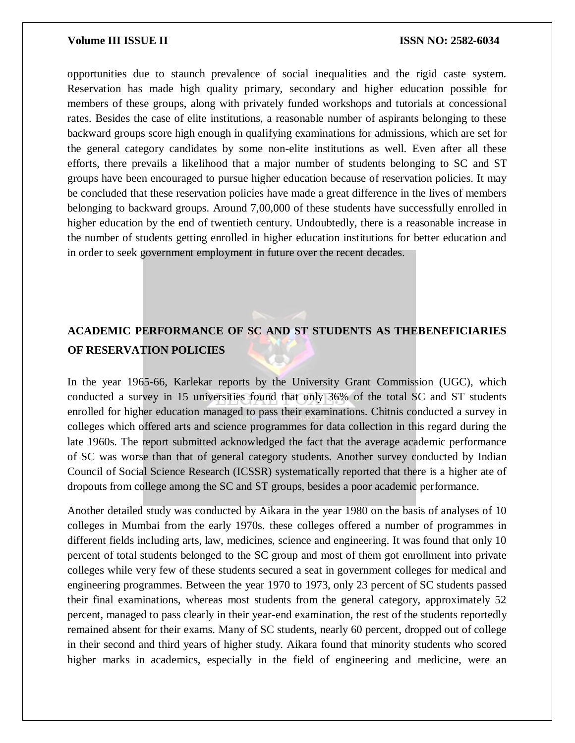opportunities due to staunch prevalence of social inequalities and the rigid caste system. Reservation has made high quality primary, secondary and higher education possible for members of these groups, along with privately funded workshops and tutorials at concessional rates. Besides the case of elite institutions, a reasonable number of aspirants belonging to these backward groups score high enough in qualifying examinations for admissions, which are set for the general category candidates by some non-elite institutions as well. Even after all these efforts, there prevails a likelihood that a major number of students belonging to SC and ST groups have been encouraged to pursue higher education because of reservation policies. It may be concluded that these reservation policies have made a great difference in the lives of members belonging to backward groups. Around 7,00,000 of these students have successfully enrolled in higher education by the end of twentieth century. Undoubtedly, there is a reasonable increase in the number of students getting enrolled in higher education institutions for better education and in order to seek government employment in future over the recent decades.

## **ACADEMIC PERFORMANCE OF SC AND ST STUDENTS AS THEBENEFICIARIES OF RESERVATION POLICIES**

In the year 1965-66, Karlekar reports by the University Grant Commission (UGC), which conducted a survey in 15 universities found that only 36% of the total SC and ST students enrolled for higher education managed to pass their examinations. Chitnis conducted a survey in colleges which offered arts and science programmes for data collection in this regard during the late 1960s. The report submitted acknowledged the fact that the average academic performance of SC was worse than that of general category students. Another survey conducted by Indian Council of Social Science Research (ICSSR) systematically reported that there is a higher ate of dropouts from college among the SC and ST groups, besides a poor academic performance.

Another detailed study was conducted by Aikara in the year 1980 on the basis of analyses of 10 colleges in Mumbai from the early 1970s. these colleges offered a number of programmes in different fields including arts, law, medicines, science and engineering. It was found that only 10 percent of total students belonged to the SC group and most of them got enrollment into private colleges while very few of these students secured a seat in government colleges for medical and engineering programmes. Between the year 1970 to 1973, only 23 percent of SC students passed their final examinations, whereas most students from the general category, approximately 52 percent, managed to pass clearly in their year-end examination, the rest of the students reportedly remained absent for their exams. Many of SC students, nearly 60 percent, dropped out of college in their second and third years of higher study. Aikara found that minority students who scored higher marks in academics, especially in the field of engineering and medicine, were an